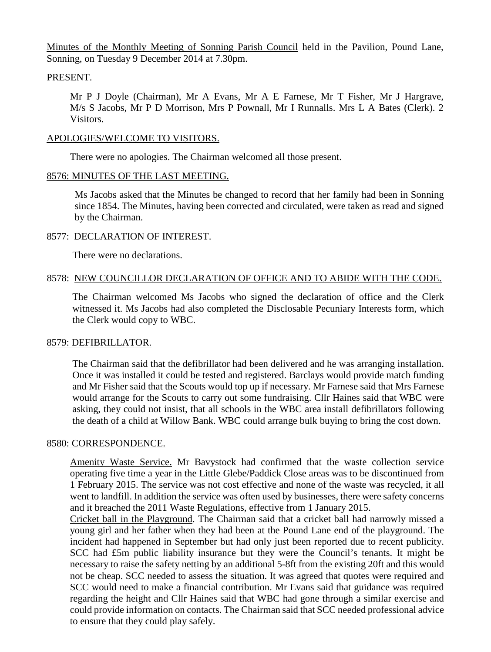Minutes of the Monthly Meeting of Sonning Parish Council held in the Pavilion, Pound Lane, Sonning, on Tuesday 9 December 2014 at 7.30pm.

### PRESENT.

Mr P J Doyle (Chairman), Mr A Evans, Mr A E Farnese, Mr T Fisher, Mr J Hargrave, M/s S Jacobs, Mr P D Morrison, Mrs P Pownall, Mr I Runnalls. Mrs L A Bates (Clerk). 2 Visitors.

#### APOLOGIES/WELCOME TO VISITORS.

There were no apologies. The Chairman welcomed all those present.

### 8576: MINUTES OF THE LAST MEETING.

Ms Jacobs asked that the Minutes be changed to record that her family had been in Sonning since 1854. The Minutes, having been corrected and circulated, were taken as read and signed by the Chairman.

### 8577: DECLARATION OF INTEREST.

There were no declarations.

## 8578: NEW COUNCILLOR DECLARATION OF OFFICE AND TO ABIDE WITH THE CODE.

The Chairman welcomed Ms Jacobs who signed the declaration of office and the Clerk witnessed it. Ms Jacobs had also completed the Disclosable Pecuniary Interests form, which the Clerk would copy to WBC.

## 8579: DEFIBRILLATOR.

The Chairman said that the defibrillator had been delivered and he was arranging installation. Once it was installed it could be tested and registered. Barclays would provide match funding and Mr Fisher said that the Scouts would top up if necessary. Mr Farnese said that Mrs Farnese would arrange for the Scouts to carry out some fundraising. Cllr Haines said that WBC were asking, they could not insist, that all schools in the WBC area install defibrillators following the death of a child at Willow Bank. WBC could arrange bulk buying to bring the cost down.

#### 8580: CORRESPONDENCE.

Amenity Waste Service. Mr Bavystock had confirmed that the waste collection service operating five time a year in the Little Glebe/Paddick Close areas was to be discontinued from 1 February 2015. The service was not cost effective and none of the waste was recycled, it all went to landfill. In addition the service was often used by businesses, there were safety concerns and it breached the 2011 Waste Regulations, effective from 1 January 2015.

Cricket ball in the Playground. The Chairman said that a cricket ball had narrowly missed a young girl and her father when they had been at the Pound Lane end of the playground. The incident had happened in September but had only just been reported due to recent publicity. SCC had £5m public liability insurance but they were the Council's tenants. It might be necessary to raise the safety netting by an additional 5-8ft from the existing 20ft and this would not be cheap. SCC needed to assess the situation. It was agreed that quotes were required and SCC would need to make a financial contribution. Mr Evans said that guidance was required regarding the height and Cllr Haines said that WBC had gone through a similar exercise and could provide information on contacts. The Chairman said that SCC needed professional advice to ensure that they could play safely.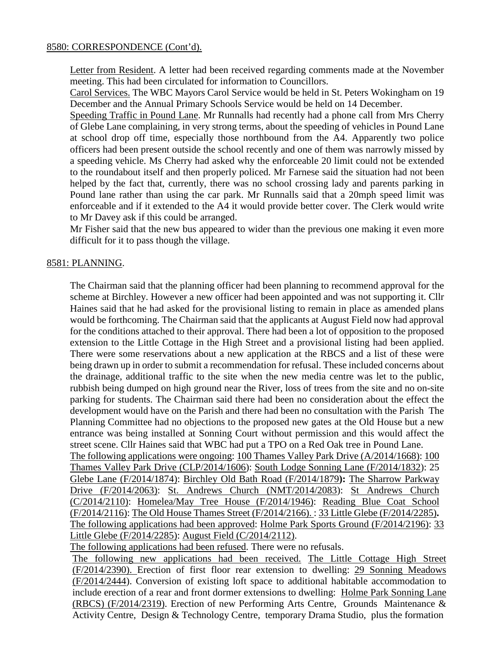## 8580: CORRESPONDENCE (Cont'd).

Letter from Resident. A letter had been received regarding comments made at the November meeting. This had been circulated for information to Councillors.

Carol Services. The WBC Mayors Carol Service would be held in St. Peters Wokingham on 19 December and the Annual Primary Schools Service would be held on 14 December.

Speeding Traffic in Pound Lane. Mr Runnalls had recently had a phone call from Mrs Cherry of Glebe Lane complaining, in very strong terms, about the speeding of vehicles in Pound Lane at school drop off time, especially those northbound from the A4. Apparently two police officers had been present outside the school recently and one of them was narrowly missed by a speeding vehicle. Ms Cherry had asked why the enforceable 20 limit could not be extended to the roundabout itself and then properly policed. Mr Farnese said the situation had not been helped by the fact that, currently, there was no school crossing lady and parents parking in Pound lane rather than using the car park. Mr Runnalls said that a 20mph speed limit was enforceable and if it extended to the A4 it would provide better cover. The Clerk would write to Mr Davey ask if this could be arranged.

Mr Fisher said that the new bus appeared to wider than the previous one making it even more difficult for it to pass though the village.

## 8581: PLANNING.

The Chairman said that the planning officer had been planning to recommend approval for the scheme at Birchley. However a new officer had been appointed and was not supporting it. Cllr Haines said that he had asked for the provisional listing to remain in place as amended plans would be forthcoming. The Chairman said that the applicants at August Field now had approval for the conditions attached to their approval. There had been a lot of opposition to the proposed extension to the Little Cottage in the High Street and a provisional listing had been applied. There were some reservations about a new application at the RBCS and a list of these were being drawn up in order to submit a recommendation for refusal. These included concerns about the drainage, additional traffic to the site when the new media centre was let to the public, rubbish being dumped on high ground near the River, loss of trees from the site and no on-site parking for students. The Chairman said there had been no consideration about the effect the development would have on the Parish and there had been no consultation with the Parish The Planning Committee had no objections to the proposed new gates at the Old House but a new entrance was being installed at Sonning Court without permission and this would affect the street scene. Cllr Haines said that WBC had put a TPO on a Red Oak tree in Pound Lane. The following applications were ongoing: 100 Thames Valley Park Drive (A/2014/1668): 100 Thames Valley Park Drive (CLP/2014/1606): South Lodge Sonning Lane (F/2014/1832): 25 Glebe Lane (F/2014/1874): Birchley Old Bath Road (F/2014/1879**):** The Sharrow Parkway Drive (F/2014/2063): St. Andrews Church (NMT/2014/2083): St Andrews Church (C/2014/2110): Homelea/May Tree House (F/2014/1946): Reading Blue Coat School (F/2014/2116): The Old House Thames Street (F/2014/2166). : 33 Little Glebe (F/2014/2285)**.** The following applications had been approved: Holme Park Sports Ground (F/2014/2196): 33 Little Glebe (F/2014/2285): August Field (C/2014/2112).

The following applications had been refused. There were no refusals.

The following new applications had been received. The Little Cottage High Street (F/2014/2390). Erection of first floor rear extension to dwelling: 29 Sonning Meadows (F/2014/2444). Conversion of existing loft space to additional habitable accommodation to include erection of a rear and front dormer extensions to dwelling: Holme Park Sonning Lane (RBCS) (F/2014/2319). Erection of new Performing Arts Centre, Grounds Maintenance & Activity Centre, Design & Technology Centre, temporary Drama Studio, plus the formation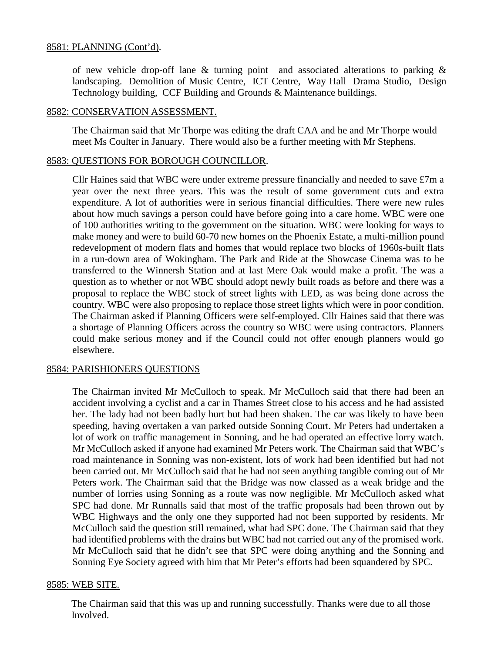## 8581: PLANNING (Cont'd).

of new vehicle drop-off lane & turning point and associated alterations to parking & landscaping. Demolition of Music Centre, ICT Centre, Way Hall Drama Studio, Design Technology building, CCF Building and Grounds & Maintenance buildings.

#### 8582: CONSERVATION ASSESSMENT.

The Chairman said that Mr Thorpe was editing the draft CAA and he and Mr Thorpe would meet Ms Coulter in January. There would also be a further meeting with Mr Stephens.

#### 8583: QUESTIONS FOR BOROUGH COUNCILLOR.

Cllr Haines said that WBC were under extreme pressure financially and needed to save £7m a year over the next three years. This was the result of some government cuts and extra expenditure. A lot of authorities were in serious financial difficulties. There were new rules about how much savings a person could have before going into a care home. WBC were one of 100 authorities writing to the government on the situation. WBC were looking for ways to make money and were to build 60-70 new homes on the Phoenix Estate, a multi-million pound redevelopment of modern flats and homes that would replace two blocks of 1960s-built flats in a run-down area of Wokingham. The Park and Ride at the Showcase Cinema was to be transferred to the Winnersh Station and at last Mere Oak would make a profit. The was a question as to whether or not WBC should adopt newly built roads as before and there was a proposal to replace the WBC stock of street lights with LED, as was being done across the country. WBC were also proposing to replace those street lights which were in poor condition. The Chairman asked if Planning Officers were self-employed. Cllr Haines said that there was a shortage of Planning Officers across the country so WBC were using contractors. Planners could make serious money and if the Council could not offer enough planners would go elsewhere.

## 8584: PARISHIONERS QUESTIONS

The Chairman invited Mr McCulloch to speak. Mr McCulloch said that there had been an accident involving a cyclist and a car in Thames Street close to his access and he had assisted her. The lady had not been badly hurt but had been shaken. The car was likely to have been speeding, having overtaken a van parked outside Sonning Court. Mr Peters had undertaken a lot of work on traffic management in Sonning, and he had operated an effective lorry watch. Mr McCulloch asked if anyone had examined Mr Peters work. The Chairman said that WBC's road maintenance in Sonning was non-existent, lots of work had been identified but had not been carried out. Mr McCulloch said that he had not seen anything tangible coming out of Mr Peters work. The Chairman said that the Bridge was now classed as a weak bridge and the number of lorries using Sonning as a route was now negligible. Mr McCulloch asked what SPC had done. Mr Runnalls said that most of the traffic proposals had been thrown out by WBC Highways and the only one they supported had not been supported by residents. Mr McCulloch said the question still remained, what had SPC done. The Chairman said that they had identified problems with the drains but WBC had not carried out any of the promised work. Mr McCulloch said that he didn't see that SPC were doing anything and the Sonning and Sonning Eye Society agreed with him that Mr Peter's efforts had been squandered by SPC.

#### 8585: WEB SITE.

 The Chairman said that this was up and running successfully. Thanks were due to all those Involved.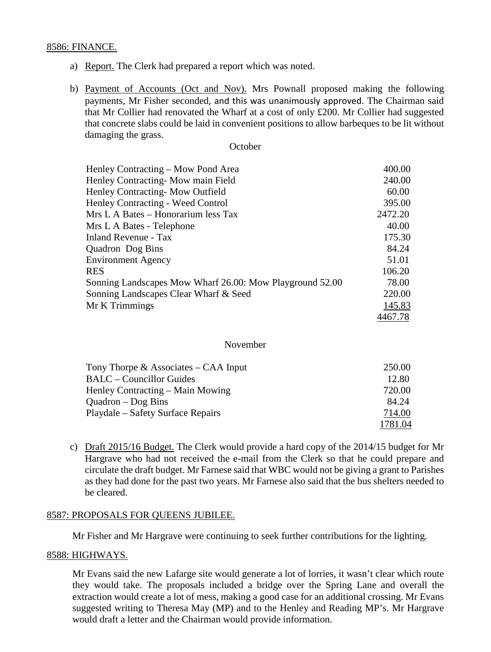#### 8586: FINANCE.

- a) Report. The Clerk had prepared a report which was noted.
- b) Payment of Accounts (Oct and Nov). Mrs Pownall proposed making the following payments, Mr Fisher seconded, and this was unanimously approved. The Chairman said that Mr Collier had renovated the Wharf at a cost of only £200. Mr Collier had suggested that concrete slabs could be laid in convenient positions to allow barbeques to be lit without damaging the grass.

#### **October**

| Henley Contracting – Mow Pond Area                       | 400.00  |
|----------------------------------------------------------|---------|
| Henley Contracting-Mow main Field                        | 240.00  |
| Henley Contracting-Mow Outfield                          | 60.00   |
| Henley Contracting - Weed Control                        | 395.00  |
| Mrs L A Bates – Honorarium less Tax                      | 2472.20 |
| Mrs L A Bates - Telephone                                | 40.00   |
| <b>Inland Revenue - Tax</b>                              | 175.30  |
| Quadron Dog Bins                                         | 84.24   |
| <b>Environment Agency</b>                                | 51.01   |
| <b>RES</b>                                               | 106.20  |
| Sonning Landscapes Mow Wharf 26.00: Mow Playground 52.00 | 78.00   |
| Sonning Landscapes Clear Wharf & Seed                    | 220.00  |
| Mr K Trimmings                                           | 145.83  |
|                                                          | 4467.78 |

#### November

| Tony Thorpe $\&$ Associates – CAA Input | 250.00  |
|-----------------------------------------|---------|
| <b>BALC</b> – Councillor Guides         | 12.80   |
| Henley Contracting – Main Mowing        | 720.00  |
| $Quadron - Dog Bins$                    | 84.24   |
| Playdale – Safety Surface Repairs       | 714.00  |
|                                         | 1781.04 |

c) Draft 2015/16 Budget. The Clerk would provide a hard copy of the 2014/15 budget for Mr Hargrave who had not received the e-mail from the Clerk so that he could prepare and circulate the draft budget. Mr Farnese said that WBC would not be giving a grant to Parishes as they had done for the past two years. Mr Farnese also said that the bus shelters needed to be cleared.

#### 8587: PROPOSALS FOR QUEENS JUBILEE.

Mr Fisher and Mr Hargrave were continuing to seek further contributions for the lighting.

#### 8588: HIGHWAYS.

Mr Evans said the new Lafarge site would generate a lot of lorries, it wasn't clear which route they would take. The proposals included a bridge over the Spring Lane and overall the extraction would create a lot of mess, making a good case for an additional crossing. Mr Evans suggested writing to Theresa May (MP) and to the Henley and Reading MP's. Mr Hargrave would draft a letter and the Chairman would provide information.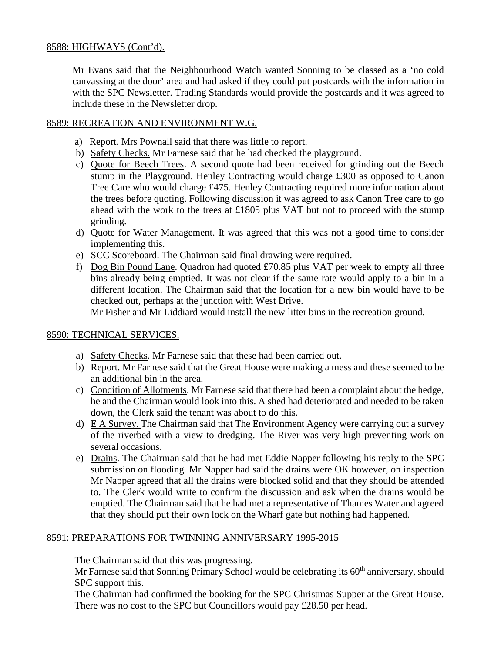## 8588: HIGHWAYS (Cont'd).

Mr Evans said that the Neighbourhood Watch wanted Sonning to be classed as a 'no cold canvassing at the door' area and had asked if they could put postcards with the information in with the SPC Newsletter. Trading Standards would provide the postcards and it was agreed to include these in the Newsletter drop.

## 8589: RECREATION AND ENVIRONMENT W.G.

- a) Report. Mrs Pownall said that there was little to report.
- b) Safety Checks. Mr Farnese said that he had checked the playground.
- c) Quote for Beech Trees. A second quote had been received for grinding out the Beech stump in the Playground. Henley Contracting would charge £300 as opposed to Canon Tree Care who would charge £475. Henley Contracting required more information about the trees before quoting. Following discussion it was agreed to ask Canon Tree care to go ahead with the work to the trees at £1805 plus VAT but not to proceed with the stump grinding.
- d) Quote for Water Management. It was agreed that this was not a good time to consider implementing this.
- e) SCC Scoreboard. The Chairman said final drawing were required.
- f) Dog Bin Pound Lane. Quadron had quoted £70.85 plus VAT per week to empty all three bins already being emptied. It was not clear if the same rate would apply to a bin in a different location. The Chairman said that the location for a new bin would have to be checked out, perhaps at the junction with West Drive.

Mr Fisher and Mr Liddiard would install the new litter bins in the recreation ground.

## 8590: TECHNICAL SERVICES.

- a) Safety Checks. Mr Farnese said that these had been carried out.
- b) Report. Mr Farnese said that the Great House were making a mess and these seemed to be an additional bin in the area.
- c) Condition of Allotments. Mr Farnese said that there had been a complaint about the hedge, he and the Chairman would look into this. A shed had deteriorated and needed to be taken down, the Clerk said the tenant was about to do this.
- d) E A Survey. The Chairman said that The Environment Agency were carrying out a survey of the riverbed with a view to dredging. The River was very high preventing work on several occasions.
- e) Drains. The Chairman said that he had met Eddie Napper following his reply to the SPC submission on flooding. Mr Napper had said the drains were OK however, on inspection Mr Napper agreed that all the drains were blocked solid and that they should be attended to. The Clerk would write to confirm the discussion and ask when the drains would be emptied. The Chairman said that he had met a representative of Thames Water and agreed that they should put their own lock on the Wharf gate but nothing had happened.

## 8591: PREPARATIONS FOR TWINNING ANNIVERSARY 1995-2015

The Chairman said that this was progressing.

Mr Farnese said that Sonning Primary School would be celebrating its  $60<sup>th</sup>$  anniversary, should SPC support this.

The Chairman had confirmed the booking for the SPC Christmas Supper at the Great House. There was no cost to the SPC but Councillors would pay £28.50 per head.